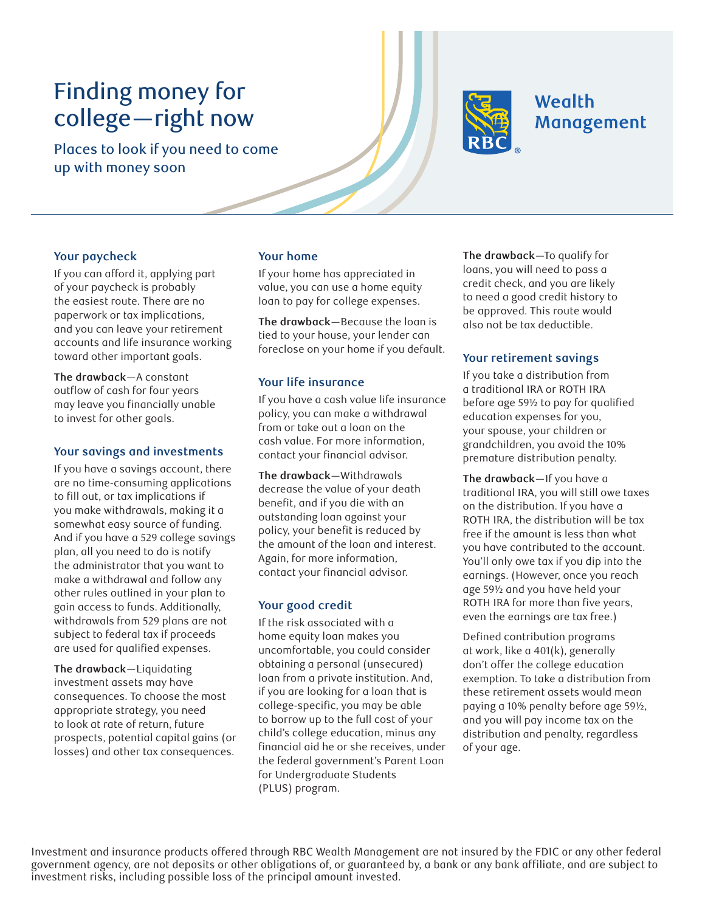# Finding money for college—right now

Places to look if you need to come up with money soon



# **Wealth** Management

#### **Your paycheck**

If you can afford it, applying part of your paycheck is probably the easiest route. There are no paperwork or tax implications, and you can leave your retirement accounts and life insurance working toward other important goals.

**The drawback**—A constant outflow of cash for four years may leave you financially unable to invest for other goals.

#### **Your savings and investments**

If you have a savings account, there are no time-consuming applications to fill out, or tax implications if you make withdrawals, making it a somewhat easy source of funding. And if you have a 529 college savings plan, all you need to do is notify the administrator that you want to make a withdrawal and follow any other rules outlined in your plan to gain access to funds. Additionally, withdrawals from 529 plans are not subject to federal tax if proceeds are used for qualified expenses.

**The drawback**—Liquidating investment assets may have consequences. To choose the most appropriate strategy, you need to look at rate of return, future prospects, potential capital gains (or losses) and other tax consequences.

### **Your home**

If your home has appreciated in value, you can use a home equity loan to pay for college expenses.

**The drawback**—Because the loan is tied to your house, your lender can foreclose on your home if you default.

#### **Your life insurance**

If you have a cash value life insurance policy, you can make a withdrawal from or take out a loan on the cash value. For more information, contact your financial advisor.

**The drawback**—Withdrawals decrease the value of your death benefit, and if you die with an outstanding loan against your policy, your benefit is reduced by the amount of the loan and interest. Again, for more information, contact your financial advisor.

#### **Your good credit**

If the risk associated with a home equity loan makes you uncomfortable, you could consider obtaining a personal (unsecured) loan from a private institution. And, if you are looking for a loan that is college-specific, you may be able to borrow up to the full cost of your child's college education, minus any financial aid he or she receives, under the federal government's Parent Loan for Undergraduate Students (PLUS) program.

**The drawback**—To qualify for loans, you will need to pass a credit check, and you are likely to need a good credit history to be approved. This route would also not be tax deductible.

## **Your retirement savings**

If you take a distribution from a traditional IRA or ROTH IRA before age 59½ to pay for qualified education expenses for you, your spouse, your children or grandchildren, you avoid the 10% premature distribution penalty.

**The drawback**—If you have a traditional IRA, you will still owe taxes on the distribution. If you have a ROTH IRA, the distribution will be tax free if the amount is less than what you have contributed to the account. You'll only owe tax if you dip into the earnings. (However, once you reach age 59½ and you have held your ROTH IRA for more than five years, even the earnings are tax free.)

Defined contribution programs at work, like a 401(k), generally don't offer the college education exemption. To take a distribution from these retirement assets would mean paying a 10% penalty before age 59½, and you will pay income tax on the distribution and penalty, regardless of your age.

Investment and insurance products offered through RBC Wealth Management are not insured by the FDIC or any other federal government agency, are not deposits or other obligations of, or guaranteed by, a bank or any bank affiliate, and are subject to investment risks, including possible loss of the principal amount invested.